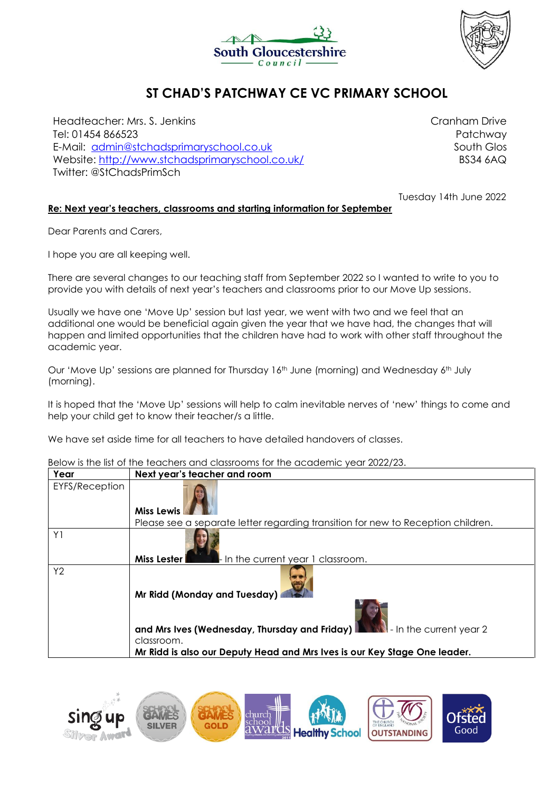



# **ST CHAD'S PATCHWAY CE VC PRIMARY SCHOOL**

Headteacher: Mrs. S. Jenkins Tel: 01454 866523 E-Mail: [admin@stchadsprimaryschool.co.uk](mailto:admin@stchadsprimaryschool.co.uk) Website:<http://www.stchadsprimaryschool.co.uk/> Twitter: @StChadsPrimSch

Cranham Drive Patchway South Glos BS34 6AQ

Tuesday 14th June 2022

## **Re: Next year's teachers, classrooms and starting information for September**

Dear Parents and Carers,

I hope you are all keeping well.

There are several changes to our teaching staff from September 2022 so I wanted to write to you to provide you with details of next year's teachers and classrooms prior to our Move Up sessions.

Usually we have one 'Move Up' session but last year, we went with two and we feel that an additional one would be beneficial again given the year that we have had, the changes that will happen and limited opportunities that the children have had to work with other staff throughout the academic year.

Our 'Move Up' sessions are planned for Thursday 16<sup>th</sup> June (morning) and Wednesday 6<sup>th</sup> July (morning).

It is hoped that the 'Move Up' sessions will help to calm inevitable nerves of 'new' things to come and help your child get to know their teacher/s a little.

We have set aside time for all teachers to have detailed handovers of classes.

# Below is the list of the teachers and classrooms for the academic year 2022/23.

| סטוטאז וווי ט ווויט וטעכווטט טווט טוטאַכעראַ דער ווויט טכטטטווויט אַכטר בעברך בט. |                                                                                                                                                                                                                     |
|-----------------------------------------------------------------------------------|---------------------------------------------------------------------------------------------------------------------------------------------------------------------------------------------------------------------|
| Year                                                                              | Next year's teacher and room                                                                                                                                                                                        |
| <b>EYFS/Reception</b>                                                             | <b>Miss Lewis</b>                                                                                                                                                                                                   |
|                                                                                   | Please see a separate letter regarding transition for new to Reception children.                                                                                                                                    |
| Y1                                                                                | $\blacksquare$ In the current year 1 classroom.<br>Miss Lester I                                                                                                                                                    |
| Y2                                                                                | Mr Ridd (Monday and Tuesday)<br>and Mrs Ives (Wednesday, Thursday and Friday) <b>Development</b> - In the current year 2<br>classroom.<br>Mr Ridd is also our Deputy Head and Mrs Ives is our Key Stage One leader. |

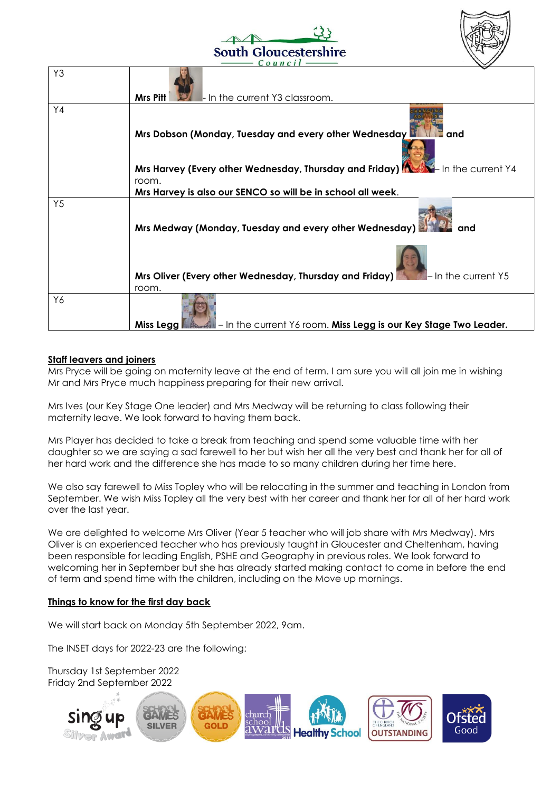



| - In the current Y3 classroom.<br>Mrs Pitt                                                             |
|--------------------------------------------------------------------------------------------------------|
|                                                                                                        |
| Mrs Dobson (Monday, Tuesday and every other Wednesday<br>and                                           |
|                                                                                                        |
| Mrs Harvey (Every other Wednesday, Thursday and Friday) <b>And Alternatives</b> In the current Y4      |
| room.<br>Mrs Harvey is also our SENCO so will be in school all week.                                   |
| Mrs Medway (Monday, Tuesday and every other Wednesday)<br>and                                          |
|                                                                                                        |
| Mrs Oliver (Every other Wednesday, Thursday and Friday)<br>$\blacksquare$ - In the current Y5          |
| room.<br>- In the current Y6 room. Miss Legg is our Key Stage Two Leader.<br>Miss Legg <b>Reserved</b> |
|                                                                                                        |

## **Staff leavers and joiners**

Mrs Pryce will be going on maternity leave at the end of term. I am sure you will all join me in wishing Mr and Mrs Pryce much happiness preparing for their new arrival.

Mrs Ives (our Key Stage One leader) and Mrs Medway will be returning to class following their maternity leave. We look forward to having them back.

Mrs Player has decided to take a break from teaching and spend some valuable time with her daughter so we are saying a sad farewell to her but wish her all the very best and thank her for all of her hard work and the difference she has made to so many children during her time here.

We also say farewell to Miss Topley who will be relocating in the summer and teaching in London from September. We wish Miss Topley all the very best with her career and thank her for all of her hard work over the last year.

We are delighted to welcome Mrs Oliver (Year 5 teacher who will job share with Mrs Medway). Mrs Oliver is an experienced teacher who has previously taught in Gloucester and Cheltenham, having been responsible for leading English, PSHE and Geography in previous roles. We look forward to welcoming her in September but she has already started making contact to come in before the end of term and spend time with the children, including on the Move up mornings.

# **Things to know for the first day back**

We will start back on Monday 5th September 2022, 9am.

The INSET days for 2022-23 are the following:

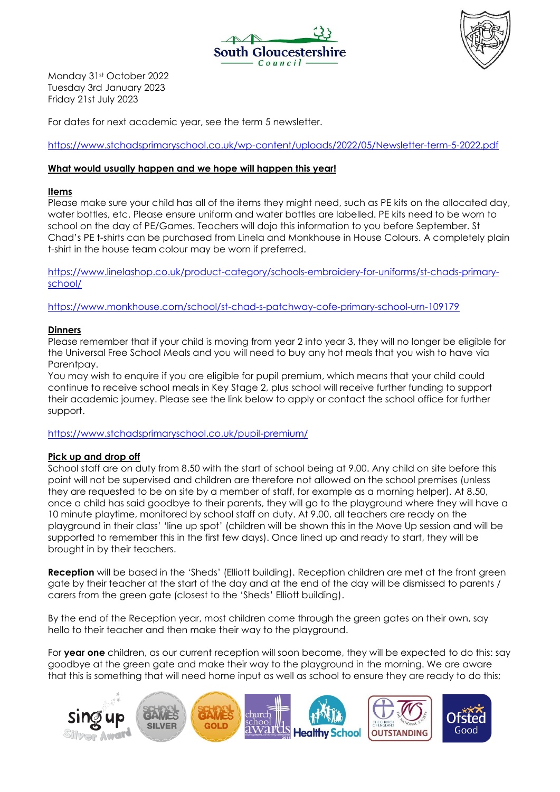



Monday 31st October 2022 Tuesday 3rd January 2023 Friday 21st July 2023

For dates for next academic year, see the term 5 newsletter.

<https://www.stchadsprimaryschool.co.uk/wp-content/uploads/2022/05/Newsletter-term-5-2022.pdf>

## **What would usually happen and we hope will happen this year!**

## **Items**

Please make sure your child has all of the items they might need, such as PE kits on the allocated day, water bottles, etc. Please ensure uniform and water bottles are labelled. PE kits need to be worn to school on the day of PE/Games. Teachers will dojo this information to you before September. St Chad's PE t-shirts can be purchased from Linela and Monkhouse in House Colours. A completely plain t-shirt in the house team colour may be worn if preferred.

[https://www.linelashop.co.uk/product-category/schools-embroidery-for-uniforms/st-chads-primary](https://www.linelashop.co.uk/product-category/schools-embroidery-for-uniforms/st-chads-primary-school/)[school/](https://www.linelashop.co.uk/product-category/schools-embroidery-for-uniforms/st-chads-primary-school/)

<https://www.monkhouse.com/school/st-chad-s-patchway-cofe-primary-school-urn-109179>

#### **Dinners**

Please remember that if your child is moving from year 2 into year 3, they will no longer be eligible for the Universal Free School Meals and you will need to buy any hot meals that you wish to have via Parentpay.

You may wish to enquire if you are eligible for pupil premium, which means that your child could continue to receive school meals in Key Stage 2, plus school will receive further funding to support their academic journey. Please see the link below to apply or contact the school office for further support.

<https://www.stchadsprimaryschool.co.uk/pupil-premium/>

#### **Pick up and drop off**

School staff are on duty from 8.50 with the start of school being at 9.00. Any child on site before this point will not be supervised and children are therefore not allowed on the school premises (unless they are requested to be on site by a member of staff, for example as a morning helper). At 8.50, once a child has said goodbye to their parents, they will go to the playground where they will have a 10 minute playtime, monitored by school staff on duty. At 9.00, all teachers are ready on the playground in their class' 'line up spot' (children will be shown this in the Move Up session and will be supported to remember this in the first few days). Once lined up and ready to start, they will be brought in by their teachers.

**Reception** will be based in the 'Sheds' (Elliott building). Reception children are met at the front green gate by their teacher at the start of the day and at the end of the day will be dismissed to parents / carers from the green gate (closest to the 'Sheds' Elliott building).

By the end of the Reception year, most children come through the green gates on their own, say hello to their teacher and then make their way to the playground.

For **year one** children, as our current reception will soon become, they will be expected to do this: say goodbye at the green gate and make their way to the playground in the morning. We are aware that this is something that will need home input as well as school to ensure they are ready to do this;